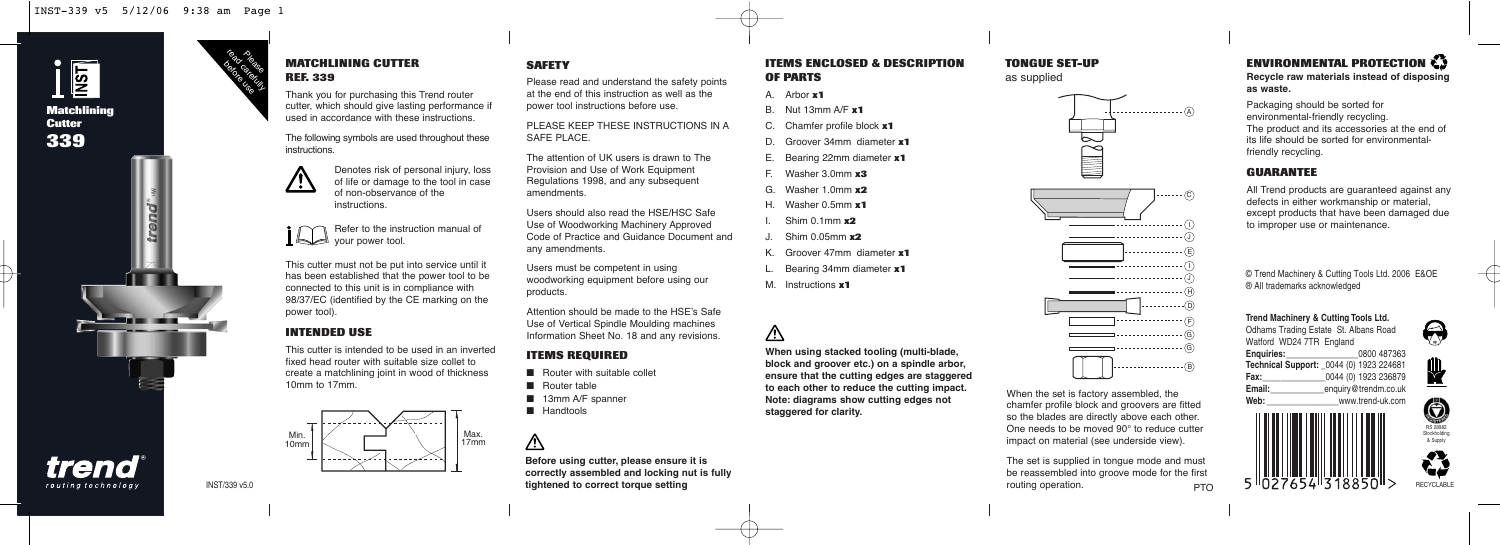

trend routing technology

trend

### Please read carefully **MATCHLINING CUTTER REF. 339**

Thank you for purchasing this Trend router cutter, which should give lasting performance if used in accordance with these instructions.

The following symbols are used throughout these instructions.



Denotes risk of personal injury, loss of life or damage to the tool in case of non-observance of the instructions.



This cutter must not be put into service until it has been established that the power tool to be connected to this unit is in compliance with 98/37/EC (identified by the CE marking on the power tool).

### **INTENDED USE**

This cutter is intended to be used in an inverted fixed head router with suitable size collet to create a matchlining joint in wood of thickness 10mm to 17mm.



### **SAFETY**

Please read and understand the safety points at the end of this instruction as well as the power tool instructions before use.

PLEASE KEEP THESE INSTRUCTIONS IN A SAFE PLACE.

The attention of UK users is drawn to The Provision and Use of Work Equipment Regulations 1998, and any subsequent amendments.

Users should also read the HSE/HSC Safe Use of Woodworking Machinery Approved Code of Practice and Guidance Document and any amendments.

Users must be competent in using woodworking equipment before using our products.

Attention should be made to the HSE's Safe Use of Vertical Spindle Moulding machines Information Sheet No. 18 and any revisions.

### **ITEMS REQUIRED**

- Router with suitable collet
- Router table
- 13mm A/F spanner
- Handtools

## ∧

**Before using cutter, please ensure it is correctly assembled and locking nut is fully tightened to correct torque setting**

**ITEMS ENCLOSED & DESCRIPTION OF PARTS**

K. Groover 47mm diameter **x1** L. Bearing 34mm diameter **x1**

**When using stacked tooling (multi-blade, block and groover etc.) on a spindle arbor, ensure that the cutting edges are staggered to each other to reduce the cutting impact. Note: diagrams show cutting edges not**

M. Instructions **x1**

Λ

**staggered for clarity.**

A. Arbor **x1** B. Nut 13mm A/F **x1** C. Chamfer profile block **x1** D. Groover 34mm diameter **x1** E. Bearing 22mm diameter **x1** F. Washer 3.0mm **x3** G. Washer 1.0mm **x2** H. Washer 0.5mm **x1** I. Shim 0.1mm **x2** J. Shim 0.05mm **x2**

### **TONGUE SET-UP**

as supplied



chamfer profile block and groovers are fitted so the blades are directly above each other. One needs to be moved 90° to reduce cutter impact on material (see underside view).

The set is supplied in tongue mode and must be reassembled into groove mode for the first routing operation. PTO

### **ENVIRONMENTAL PROTECTION Recycle raw materials instead of disposing**

**as waste.**

Packaging should be sorted for environmental-friendly recycling. The product and its accessories at the end of its life should be sorted for environmentalfriendly recycling.

### **GUARANTEE**

All Trend products are guaranteed against any defects in either workmanship or material, except products that have been damaged due to improper use or maintenance.

© Trend Machinery & Cutting Tools Ltd. 2006 E&OE ® All trademarks acknowledged

**Trend Machinery & Cutting Tools Ltd.** Odhams Trading Estate St. Albans Road Watford WD24 7TR England **Enquiries:**\_\_\_\_\_\_\_\_\_\_\_\_\_\_\_\_0800 487363 **Technical Support:** \_0044 (0) 1923 224681 **Fax:**<br>**Email:** 0044 (0) 1923 236879<br>**Email:** enquiry@trendm.co.uk **Email:\_\_\_\_\_\_\_\_\_\_\_\_\_**enquiry@trendm.co.uk<br>Web: www.trend-uk.com **Web:** \_\_\_\_\_\_\_\_\_\_\_\_\_\_\_\_www.trend-uk.com

 $\bigcirc$ 





INST/339 v5.0

before use